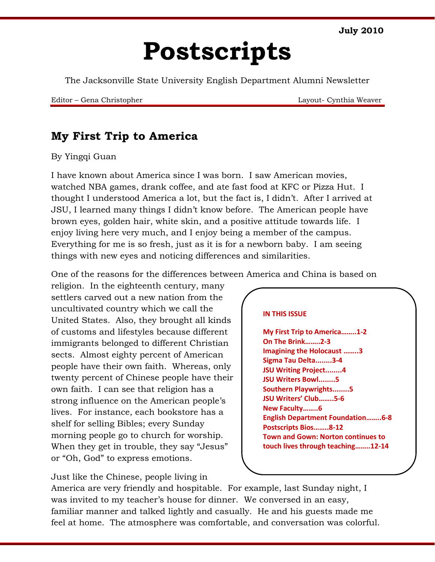**July 2010**

# **Postscripts**

The Jacksonville State University English Department Alumni Newsletter

Editor – Gena Christopher Layout- Cynthia Weaver

## **My First Trip to America**

#### By Yingqi Guan

I have known about America since I was born. I saw American movies, watched NBA games, drank coffee, and ate fast food at KFC or Pizza Hut. I thought I understood America a lot, but the fact is, I didn't*.* After I arrived at JSU, I learned many things I didn't know before. The American people have brown eyes, golden hair, white skin, and a positive attitude towards life. I enjoy living here very much, and I enjoy being a member of the campus. Everything for me is so fresh, just as it is for a newborn baby. I am seeing things with new eyes and noticing differences and similarities.

One of the reasons for the differences between America and China is based on

religion. In the eighteenth century, many settlers carved out a new nation from the uncultivated country which we call the United States. Also, they brought all kinds of customs and lifestyles because different immigrants belonged to different Christian sects. Almost eighty percent of American people have their own faith. Whereas, only twenty percent of Chinese people have their own faith. I can see that religion has a strong influence on the American people's lives. For instance, each bookstore has a shelf for selling Bibles; every Sunday morning people go to church for worship. When they get in trouble, they say "Jesus" or "Oh, God" to express emotions.

Just like the Chinese, people living in

#### **IN THIS ISSUE**

**My First Trip to America……..1-2 On The Brink……..2-3 Imagining the Holocaust ……..3 Sigma Tau Delta........3-4 JSU Writing Project........4 JSU Writers Bowl........5 Southern Playwrights........5 JSU Writers' Club……..5-6 New Faculty……..6 English Department Foundation……..6-8 Postscripts Bios……..8-12 Town and Gown: Norton continues to touch lives through teaching……..12-14**

America are very friendly and hospitable. For example, last Sunday night, I was invited to my teacher's house for dinner. We conversed in an easy, familiar manner and talked lightly and casually. He and his guests made me feel at home. The atmosphere was comfortable, and conversation was colorful.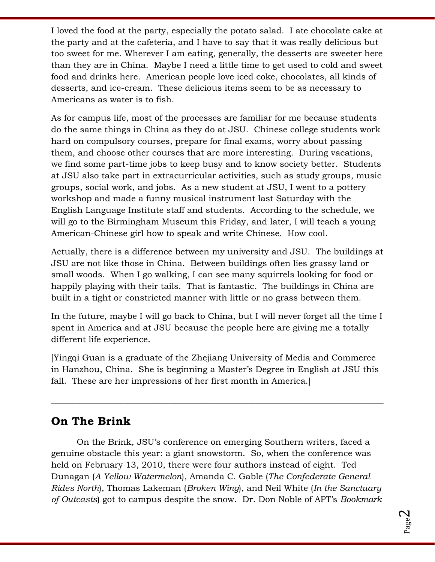I loved the food at the party, especially the potato salad. I ate chocolate cake at the party and at the cafeteria, and I have to say that it was really delicious but too sweet for me. Wherever I am eating, generally, the desserts are sweeter here than they are in China. Maybe I need a little time to get used to cold and sweet food and drinks here. American people love iced coke, chocolates, all kinds of desserts, and ice-cream. These delicious items seem to be as necessary to Americans as water is to fish.

As for campus life, most of the processes are familiar for me because students do the same things in China as they do at JSU. Chinese college students work hard on compulsory courses, prepare for final exams, worry about passing them, and choose other courses that are more interesting. During vacations, we find some part-time jobs to keep busy and to know society better. Students at JSU also take part in extracurricular activities, such as study groups, music groups, social work, and jobs. As a new student at JSU, I went to a pottery workshop and made a funny musical instrument last Saturday with the English Language Institute staff and students. According to the schedule, we will go to the Birmingham Museum this Friday, and later, I will teach a young American-Chinese girl how to speak and write Chinese. How cool.

Actually, there is a difference between my university and JSU. The buildings at JSU are not like those in China. Between buildings often lies grassy land or small woods. When I go walking, I can see many squirrels looking for food or happily playing with their tails. That is fantastic. The buildings in China are built in a tight or constricted manner with little or no grass between them.

In the future, maybe I will go back to China, but I will never forget all the time I spent in America and at JSU because the people here are giving me a totally different life experience.

[Yingqi Guan is a graduate of the Zhejiang University of Media and Commerce in Hanzhou, China. She is beginning a Master's Degree in English at JSU this fall. These are her impressions of her first month in America.]

\_\_\_\_\_\_\_\_\_\_\_\_\_\_\_\_\_\_\_\_\_\_\_\_\_\_\_\_\_\_\_\_\_\_\_\_\_\_\_\_\_\_\_\_\_\_\_\_\_\_\_\_\_\_\_\_\_\_\_\_\_\_\_\_\_\_\_\_\_\_\_\_\_\_\_\_\_\_

# **On The Brink**

On the Brink, JSU's conference on emerging Southern writers, faced a genuine obstacle this year: a giant snowstorm. So, when the conference was held on February 13, 2010, there were four authors instead of eight. Ted Dunagan (*A Yellow Watermelon*), Amanda C. Gable (*The Confederate General Rides North*), Thomas Lakeman (*Broken Wing*), and Neil White (*In the Sanctuary of Outcasts*) got to campus despite the snow. Dr. Don Noble of APT's *Bookmark*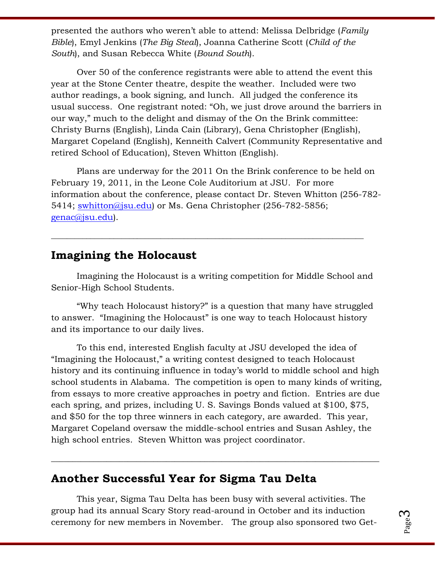presented the authors who weren't able to attend: Melissa Delbridge (*Family Bible*), Emyl Jenkins (*The Big Steal*), Joanna Catherine Scott (*Child of the South*), and Susan Rebecca White (*Bound South*).

Over 50 of the conference registrants were able to attend the event this year at the Stone Center theatre, despite the weather. Included were two author readings, a book signing, and lunch. All judged the conference its usual success. One registrant noted: "Oh, we just drove around the barriers in our way," much to the delight and dismay of the On the Brink committee: Christy Burns (English), Linda Cain (Library), Gena Christopher (English), Margaret Copeland (English), Kenneith Calvert (Community Representative and retired School of Education), Steven Whitton (English).

Plans are underway for the 2011 On the Brink conference to be held on February 19, 2011, in the Leone Cole Auditorium at JSU. For more information about the conference, please contact Dr. Steven Whitton (256-782 5414; [swhitton@jsu.edu\)](mailto:swhitton@jsu.edu) or Ms. Gena Christopher (256-782-5856; [genac@jsu.edu\)](mailto:genac@jsu.edu).

### **Imagining the Holocaust**

Imagining the Holocaust is a writing competition for Middle School and Senior-High School Students.

\_\_\_\_\_\_\_\_\_\_\_\_\_\_\_\_\_\_\_\_\_\_\_\_\_\_\_\_\_\_\_\_\_\_\_\_\_\_\_\_\_\_\_\_\_\_\_\_\_\_\_\_\_\_\_\_\_\_\_\_\_\_\_\_\_\_\_\_\_\_\_\_\_\_\_\_\_\_\_\_

"Why teach Holocaust history?" is a question that many have struggled to answer. "Imagining the Holocaust" is one way to teach Holocaust history and its importance to our daily lives.

To this end, interested English faculty at JSU developed the idea of "Imagining the Holocaust," a writing contest designed to teach Holocaust history and its continuing influence in today's world to middle school and high school students in Alabama. The competition is open to many kinds of writing, from essays to more creative approaches in poetry and fiction. Entries are due each spring, and prizes, including U. S. Savings Bonds valued at \$100, \$75, and \$50 for the top three winners in each category, are awarded. This year, Margaret Copeland oversaw the middle-school entries and Susan Ashley, the high school entries. Steven Whitton was project coordinator.

#### **Another Successful Year for Sigma Tau Delta**

This year, Sigma Tau Delta has been busy with several activities. The group had its annual Scary Story read-around in October and its induction ceremony for new members in November. The group also sponsored two Get-

 $\_$  , and the set of the set of the set of the set of the set of the set of the set of the set of the set of the set of the set of the set of the set of the set of the set of the set of the set of the set of the set of th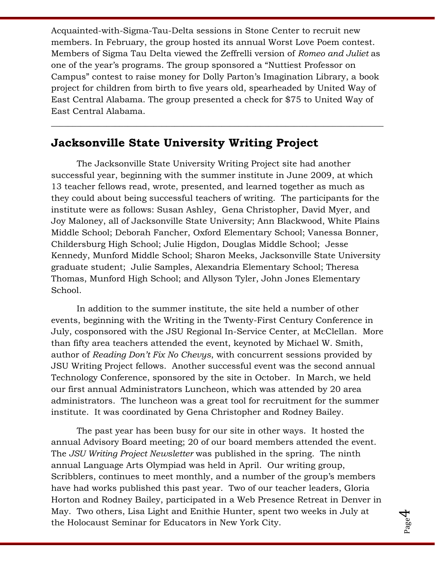Acquainted-with-Sigma-Tau-Delta sessions in Stone Center to recruit new members. In February, the group hosted its annual Worst Love Poem contest. Members of Sigma Tau Delta viewed the Zeffrelli version of *Romeo and Juliet* as one of the year's programs. The group sponsored a "Nuttiest Professor on Campus" contest to raise money for Dolly Parton's Imagination Library, a book project for children from birth to five years old, spearheaded by United Way of East Central Alabama. The group presented a check for \$75 to United Way of East Central Alabama.

 $\_$  , and the set of the set of the set of the set of the set of the set of the set of the set of the set of the set of the set of the set of the set of the set of the set of the set of the set of the set of the set of th

### **Jacksonville State University Writing Project**

The Jacksonville State University Writing Project site had another successful year, beginning with the summer institute in June 2009, at which 13 teacher fellows read, wrote, presented, and learned together as much as they could about being successful teachers of writing. The participants for the institute were as follows: Susan Ashley, Gena Christopher, David Myer, and Joy Maloney, all of Jacksonville State University; Ann Blackwood, White Plains Middle School; Deborah Fancher, Oxford Elementary School; Vanessa Bonner, Childersburg High School; Julie Higdon, Douglas Middle School; Jesse Kennedy, Munford Middle School; Sharon Meeks, Jacksonville State University graduate student; Julie Samples, Alexandria Elementary School; Theresa Thomas, Munford High School; and Allyson Tyler, John Jones Elementary School.

In addition to the summer institute, the site held a number of other events, beginning with the Writing in the Twenty-First Century Conference in July, cosponsored with the JSU Regional In-Service Center, at McClellan. More than fifty area teachers attended the event, keynoted by Michael W. Smith, author of *Reading Don't Fix No Chevys*, with concurrent sessions provided by JSU Writing Project fellows. Another successful event was the second annual Technology Conference, sponsored by the site in October. In March, we held our first annual Administrators Luncheon, which was attended by 20 area administrators. The luncheon was a great tool for recruitment for the summer institute. It was coordinated by Gena Christopher and Rodney Bailey.

The past year has been busy for our site in other ways. It hosted the annual Advisory Board meeting; 20 of our board members attended the event. The *JSU Writing Project Newsletter* was published in the spring. The ninth annual Language Arts Olympiad was held in April. Our writing group, Scribblers, continues to meet monthly, and a number of the group's members have had works published this past year. Two of our teacher leaders, Gloria Horton and Rodney Bailey, participated in a Web Presence Retreat in Denver in May. Two others, Lisa Light and Enithie Hunter, spent two weeks in July at the Holocaust Seminar for Educators in New York City.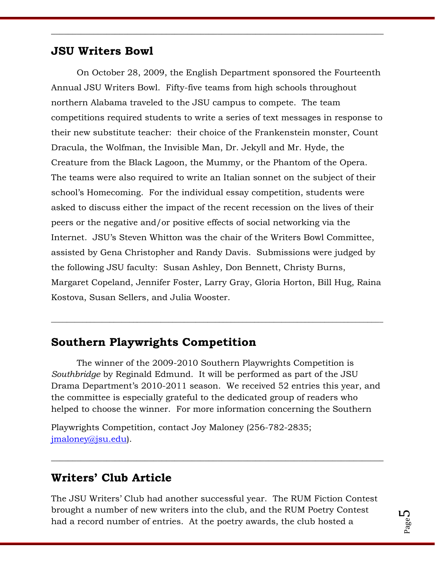### **JSU Writers Bowl**

On October 28, 2009, the English Department sponsored the Fourteenth Annual JSU Writers Bowl. Fifty-five teams from high schools throughout northern Alabama traveled to the JSU campus to compete. The team competitions required students to write a series of text messages in response to their new substitute teacher: their choice of the Frankenstein monster, Count Dracula, the Wolfman, the Invisible Man, Dr. Jekyll and Mr. Hyde, the Creature from the Black Lagoon, the Mummy, or the Phantom of the Opera. The teams were also required to write an Italian sonnet on the subject of their school's Homecoming. For the individual essay competition, students were asked to discuss either the impact of the recent recession on the lives of their peers or the negative and/or positive effects of social networking via the Internet. JSU's Steven Whitton was the chair of the Writers Bowl Committee, assisted by Gena Christopher and Randy Davis. Submissions were judged by the following JSU faculty: Susan Ashley, Don Bennett, Christy Burns, Margaret Copeland, Jennifer Foster, Larry Gray, Gloria Horton, Bill Hug, Raina Kostova, Susan Sellers, and Julia Wooster.

\_\_\_\_\_\_\_\_\_\_\_\_\_\_\_\_\_\_\_\_\_\_\_\_\_\_\_\_\_\_\_\_\_\_\_\_\_\_\_\_\_\_\_\_\_\_\_\_\_\_\_\_\_\_\_\_\_\_\_\_\_\_\_\_\_\_\_\_\_\_\_\_\_\_\_\_\_\_

## **Southern Playwrights Competition**

The winner of the 2009-2010 Southern Playwrights Competition is *Southbridge* by Reginald Edmund. It will be performed as part of the JSU Drama Department's 2010-2011 season. We received 52 entries this year, and the committee is especially grateful to the dedicated group of readers who helped to choose the winner. For more information concerning the Southern

\_\_\_\_\_\_\_\_\_\_\_\_\_\_\_\_\_\_\_\_\_\_\_\_\_\_\_\_\_\_\_\_\_\_\_\_\_\_\_\_\_\_\_\_\_\_\_\_\_\_\_\_\_\_\_\_\_\_\_\_\_\_\_\_\_\_\_\_\_\_\_\_\_\_\_\_\_\_\_\_\_\_\_\_\_

Playwrights Competition, contact Joy Maloney (256-782-2835; [jmaloney@jsu.edu\)](mailto:jmaloney@jsu.edu).

## **Writers' Club Article**

The JSU Writers' Club had another successful year. The RUM Fiction Contest brought a number of new writers into the club, and the RUM Poetry Contest had a record number of entries. At the poetry awards, the club hosted a

\_\_\_\_\_\_\_\_\_\_\_\_\_\_\_\_\_\_\_\_\_\_\_\_\_\_\_\_\_\_\_\_\_\_\_\_\_\_\_\_\_\_\_\_\_\_\_\_\_\_\_\_\_\_\_\_\_\_\_\_\_\_\_\_\_\_\_\_\_\_\_\_\_\_\_\_\_\_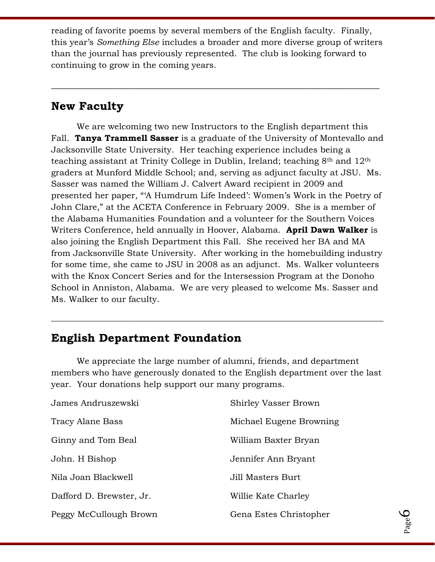reading of favorite poems by several members of the English faculty. Finally, this year's *Something Else* includes a broader and more diverse group of writers than the journal has previously represented. The club is looking forward to continuing to grow in the coming years.

**\_\_\_\_\_\_\_\_\_\_\_\_\_\_\_\_\_\_\_\_\_\_\_\_\_\_\_\_\_\_\_\_\_\_\_\_\_\_\_\_\_\_\_\_\_\_\_\_\_\_\_\_\_\_\_\_\_\_\_\_\_\_\_\_\_\_**

## **New Faculty**

We are welcoming two new Instructors to the English department this Fall. **Tanya Trammell Sasser** is a graduate of the University of Montevallo and Jacksonville State University. Her teaching experience includes being a teaching assistant at Trinity College in Dublin, Ireland; teaching 8th and 12th graders at Munford Middle School; and, serving as adjunct faculty at JSU. Ms. Sasser was named the William J. Calvert Award recipient in 2009 and presented her paper, "A Humdrum Life Indeed': Women's Work in the Poetry of John Clare," at the ACETA Conference in February 2009. She is a member of the Alabama Humanities Foundation and a volunteer for the Southern Voices Writers Conference, held annually in Hoover, Alabama. **April Dawn Walker** is also joining the English Department this Fall. She received her BA and MA from Jacksonville State University. After working in the homebuilding industry for some time, she came to JSU in 2008 as an adjunct. Ms. Walker volunteers with the Knox Concert Series and for the Intersession Program at the Donoho School in Anniston, Alabama. We are very pleased to welcome Ms. Sasser and Ms. Walker to our faculty.

## **English Department Foundation**

We appreciate the large number of alumni, friends, and department members who have generously donated to the English department over the last year. Your donations help support our many programs.

\_\_\_\_\_\_\_\_\_\_\_\_\_\_\_\_\_\_\_\_\_\_\_\_\_\_\_\_\_\_\_\_\_\_\_\_\_\_\_\_\_\_\_\_\_\_\_\_\_\_\_\_\_\_\_\_\_\_\_\_\_\_\_\_\_\_\_\_\_\_\_\_\_\_\_\_\_\_

| James Andruszewski       | Shirley Vasser Brown    |
|--------------------------|-------------------------|
| <b>Tracy Alane Bass</b>  | Michael Eugene Browning |
| Ginny and Tom Beal       | William Baxter Bryan    |
| John. H Bishop           | Jennifer Ann Bryant     |
| Nila Joan Blackwell      | Jill Masters Burt       |
| Dafford D. Brewster, Jr. | Willie Kate Charley     |
| Peggy McCullough Brown   | Gena Estes Christopher  |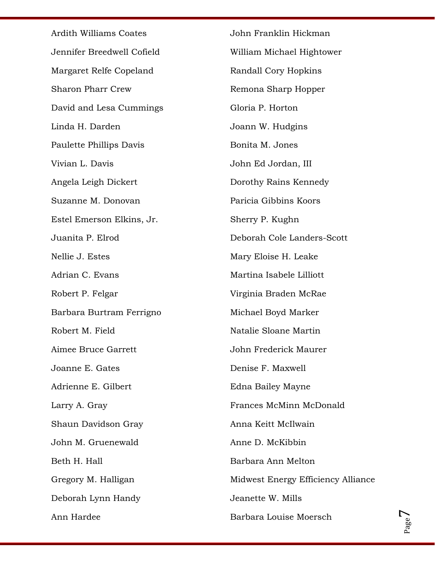Ardith Williams Coates Jennifer Breedwell Cofield Margaret Relfe Copeland Sharon Pharr Crew David and Lesa Cummings Linda H. Darden Paulette Phillips Davis Vivian L. Davis Angela Leigh Dickert Suzanne M. Donovan Estel Emerson Elkins, Jr. Juanita P. Elrod Nellie J. Estes Adrian C. Evans Robert P. Felgar Barbara Burtram Ferrigno Robert M. Field Aimee Bruce Garrett Joanne E. Gates Adrienne E. Gilbert Larry A. Gray Shaun Davidson Gray John M. Gruenewald Beth H. Hall Gregory M. Halligan Deborah Lynn Handy Ann Hardee John Franklin Hickman William Michael Hightower Randall Cory Hopkins Remona Sharp Hopper Gloria P. Horton Joann W. Hudgins Bonita M. Jones John Ed Jordan, III Dorothy Rains Kennedy Paricia Gibbins Koors Sherry P. Kughn Deborah Cole Landers-Scott Mary Eloise H. Leake Martina Isabele Lilliott Virginia Braden McRae Michael Boyd Marker Natalie Sloane Martin John Frederick Maurer Denise F. Maxwell Edna Bailey Mayne Frances McMinn McDonald Anna Keitt McIlwain Anne D. McKibbin Barbara Ann Melton Midwest Energy Efficiency Alliance Jeanette W. Mills Barbara Louise Moersch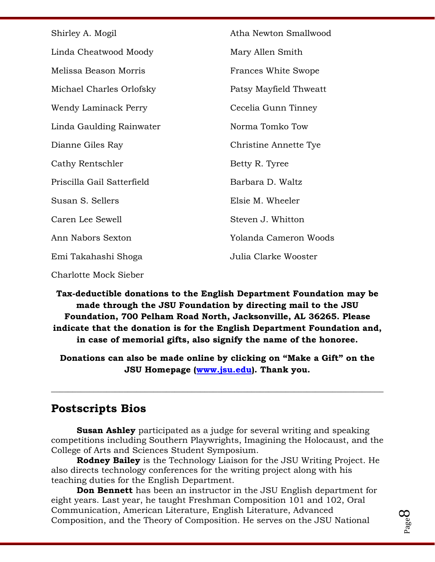| Shirley A. Mogil           | Atha Newton Smallwood  |
|----------------------------|------------------------|
| Linda Cheatwood Moody      | Mary Allen Smith       |
| Melissa Beason Morris      | Frances White Swope    |
| Michael Charles Orlofsky   | Patsy Mayfield Thweatt |
| Wendy Laminack Perry       | Cecelia Gunn Tinney    |
| Linda Gaulding Rainwater   | Norma Tomko Tow        |
| Dianne Giles Ray           | Christine Annette Tye  |
| Cathy Rentschler           | Betty R. Tyree         |
| Priscilla Gail Satterfield | Barbara D. Waltz       |
| Susan S. Sellers           | Elsie M. Wheeler       |
| Caren Lee Sewell           | Steven J. Whitton      |
| Ann Nabors Sexton          | Yolanda Cameron Woods  |
| Emi Takahashi Shoga        | Julia Clarke Wooster   |
|                            |                        |

Charlotte Mock Sieber

**Tax-deductible donations to the English Department Foundation may be made through the JSU Foundation by directing mail to the JSU Foundation, 700 Pelham Road North, Jacksonville, AL 36265. Please indicate that the donation is for the English Department Foundation and, in case of memorial gifts, also signify the name of the honoree.** 

**Donations can also be made online by clicking on "Make a Gift" on the JSU Homepage [\(www.jsu.edu\)](http://www.jsu.edu/). Thank you.**

\_\_\_\_\_\_\_\_\_\_\_\_\_\_\_\_\_\_\_\_\_\_\_\_\_\_\_\_\_\_\_\_\_\_\_\_\_\_\_\_\_\_\_\_\_\_\_\_\_\_\_\_\_\_\_\_\_\_\_\_\_\_\_\_\_\_\_\_\_\_\_\_\_\_\_\_\_\_

## **Postscripts Bios**

**Susan Ashley** participated as a judge for several writing and speaking competitions including Southern Playwrights, Imagining the Holocaust, and the College of Arts and Sciences Student Symposium.

**Rodney Bailey** is the Technology Liaison for the JSU Writing Project. He also directs technology conferences for the writing project along with his teaching duties for the English Department.

**Don Bennett** has been an instructor in the JSU English department for eight years. Last year, he taught Freshman Composition 101 and 102, Oral Communication, American Literature, English Literature, Advanced Composition, and the Theory of Composition. He serves on the JSU National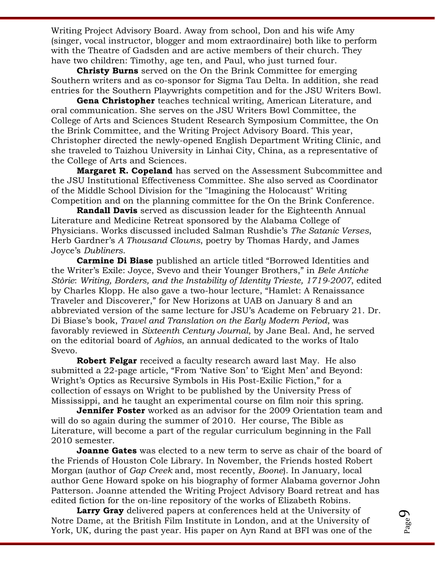Writing Project Advisory Board. Away from school, Don and his wife Amy (singer, vocal instructor, blogger and mom extraordinaire) both like to perform with the Theatre of Gadsden and are active members of their church. They have two children: Timothy, age ten, and Paul, who just turned four.

**Christy Burns** served on the On the Brink Committee for emerging Southern writers and as co-sponsor for Sigma Tau Delta. In addition, she read entries for the Southern Playwrights competition and for the JSU Writers Bowl.

**Gena Christopher** teaches technical writing, American Literature, and oral communication. She serves on the JSU Writers Bowl Committee, the College of Arts and Sciences Student Research Symposium Committee, the On the Brink Committee, and the Writing Project Advisory Board. This year, Christopher directed the newly-opened English Department Writing Clinic, and she traveled to Taizhou University in Linhai City, China, as a representative of the College of Arts and Sciences.

**Margaret R. Copeland** has served on the Assessment Subcommittee and the JSU Institutional Effectiveness Committee. She also served as Coordinator of the Middle School Division for the "Imagining the Holocaust" Writing Competition and on the planning committee for the On the Brink Conference.

**Randall Davis** served as discussion leader for the Eighteenth Annual Literature and Medicine Retreat sponsored by the Alabama College of Physicians. Works discussed included Salman Rushdie's *The Satanic Verses*, Herb Gardner's *A Thousand Clowns*, poetry by Thomas Hardy, and James Joyce's *Dubliners*.

**Carmine Di Biase** published an article titled "Borrowed Identities and the Writer's Exile: Joyce, Svevo and their Younger Brothers," in *Bele Antiche Stòrie*: *Writing, Borders, and the Instability of Identity Trieste, 1719-2007*, edited by Charles Klopp. He also gave a two-hour lecture, "Hamlet: A Renaissance Traveler and Discoverer," for New Horizons at UAB on January 8 and an abbreviated version of the same lecture for JSU's Academe on February 21. Dr. Di Biase's book, *Travel and Translation on the Early Modern Period*, was favorably reviewed in *Sixteenth Century Journal*, by Jane Beal. And, he served on the editorial board of *Aghios*, an annual dedicated to the works of Italo Svevo.

**Robert Felgar** received a faculty research award last May. He also submitted a 22-page article, "From 'Native Son' to 'Eight Men' and Beyond: Wright's Optics as Recursive Symbols in His Post-Exilic Fiction," for a collection of essays on Wright to be published by the University Press of Mississippi, and he taught an experimental course on film noir this spring.

**Jennifer Foster** worked as an advisor for the 2009 Orientation team and will do so again during the summer of 2010. Her course, The Bible as Literature, will become a part of the regular curriculum beginning in the Fall 2010 semester.

**Joanne Gates** was elected to a new term to serve as chair of the board of the Friends of Houston Cole Library. In November, the Friends hosted Robert Morgan (author of *Gap Creek* and, most recently, *Boone*). In January, local author Gene Howard spoke on his biography of former Alabama governor John Patterson. Joanne attended the Writing Project Advisory Board retreat and has edited fiction for the on-line repository of the works of Elizabeth Robins.

**Larry Gray** delivered papers at conferences held at the University of Notre Dame, at the British Film Institute in London, and at the University of York, UK, during the past year. His paper on Ayn Rand at BFI was one of the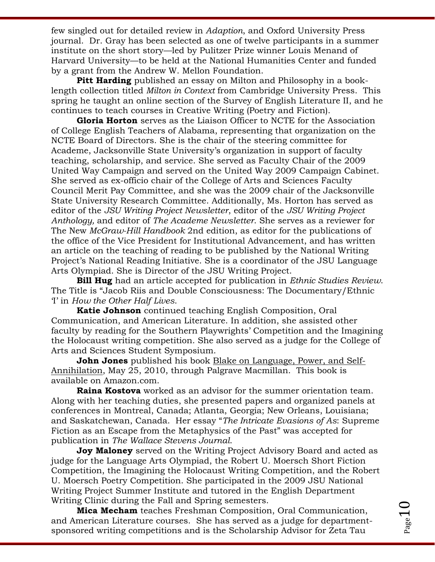few singled out for detailed review in *Adaption*, and Oxford University Press journal. Dr. Gray has been selected as one of twelve participants in a summer institute on the short story—led by Pulitzer Prize winner Louis Menand of Harvard University—to be held at the National Humanities Center and funded by a grant from the Andrew W. Mellon Foundation.

**Pitt Harding** published an essay on Milton and Philosophy in a booklength collection titled *Milton in Context* from Cambridge University Press. This spring he taught an online section of the Survey of English Literature II, and he continues to teach courses in Creative Writing (Poetry and Fiction).

**Gloria Horton** serves as the Liaison Officer to NCTE for the Association of College English Teachers of Alabama, representing that organization on the NCTE Board of Directors. She is the chair of the steering committee for Academe, Jacksonville State University's organization in support of faculty teaching, scholarship, and service. She served as Faculty Chair of the 2009 United Way Campaign and served on the United Way 2009 Campaign Cabinet. She served as ex-officio chair of the College of Arts and Sciences Faculty Council Merit Pay Committee, and she was the 2009 chair of the Jacksonville State University Research Committee. Additionally, Ms. Horton has served as editor of the *JSU Writing Project Newsletter*, editor of the *JSU Writing Project Anthology,* and editor of *The Academe Newsletter*. She serves as a reviewer for The New *McGraw-Hill Handbook* 2nd edition, as editor for the publications of the office of the Vice President for Institutional Advancement, and has written an article on the teaching of reading to be published by the National Writing Project's National Reading Initiative. She is a coordinator of the JSU Language Arts Olympiad. She is Director of the JSU Writing Project.

**Bill Hug** had an article accepted for publication in *Ethnic Studies Review*. The Title is "Jacob Riis and Double Consciousness: The Documentary/Ethnic ‗I' in *How the Other Half Lives*.

**Katie Johnson** continued teaching English Composition, Oral Communication, and American Literature. In addition, she assisted other faculty by reading for the Southern Playwrights' Competition and the Imagining the Holocaust writing competition. She also served as a judge for the College of Arts and Sciences Student Symposium.

**John Jones** published his book Blake on Language, Power, and Self-Annihilation, May 25, 2010, through Palgrave Macmillan. This book is available on Amazon.com.

**Raina Kostova** worked as an advisor for the summer orientation team. Along with her teaching duties, she presented papers and organized panels at conferences in Montreal, Canada; Atlanta, Georgia; New Orleans, Louisiana; and Saskatchewan, Canada. Her essay ―*The Intricate Evasions of As*: Supreme Fiction as an Escape from the Metaphysics of the Past" was accepted for publication in *The Wallace Stevens Journal*.

**Joy Maloney** served on the Writing Project Advisory Board and acted as judge for the Language Arts Olympiad, the Robert U. Moersch Short Fiction Competition, the Imagining the Holocaust Writing Competition, and the Robert U. Moersch Poetry Competition. She participated in the 2009 JSU National Writing Project Summer Institute and tutored in the English Department Writing Clinic during the Fall and Spring semesters.

**Mica Mecham** teaches Freshman Composition, Oral Communication, and American Literature courses. She has served as a judge for departmentsponsored writing competitions and is the Scholarship Advisor for Zeta Tau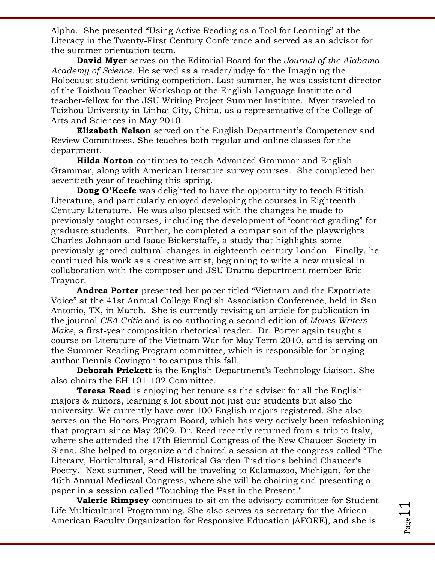Alpha. She presented "Using Active Reading as a Tool for Learning" at the Literacy in the Twenty-First Century Conference and served as an advisor for the summer orientation team.

**David Myer** serves on the Editorial Board for the *Journal of the Alabama Academy of Science*. He served as a reader/judge for the Imagining the Holocaust student writing competition. Last summer, he was assistant director of the Taizhou Teacher Workshop at the English Language Institute and teacher-fellow for the JSU Writing Project Summer Institute. Myer traveled to Taizhou University in Linhai City, China, as a representative of the College of Arts and Sciences in May 2010.

**Elizabeth Nelson** served on the English Department's Competency and Review Committees. She teaches both regular and online classes for the department.

**Hilda Norton** continues to teach Advanced Grammar and English Grammar, along with American literature survey courses. She completed her seventieth year of teaching this spring.

**Doug O'Keefe** was delighted to have the opportunity to teach British Literature, and particularly enjoyed developing the courses in Eighteenth Century Literature. He was also pleased with the changes he made to previously taught courses, including the development of "contract grading" for graduate students. Further, he completed a comparison of the playwrights Charles Johnson and Isaac Bickerstaffe, a study that highlights some previously ignored cultural changes in eighteenth-century London. Finally, he continued his work as a creative artist, beginning to write a new musical in collaboration with the composer and JSU Drama department member Eric Traynor.

**Andrea Porter** presented her paper titled "Vietnam and the Expatriate Voice" at the 41st Annual College English Association Conference, held in San Antonio, TX, in March. She is currently revising an article for publication in the journal *CEA Critic* and is co-authoring a second edition of *Moves Writers Make*, a first-year composition rhetorical reader. Dr. Porter again taught a course on Literature of the Vietnam War for May Term 2010, and is serving on the Summer Reading Program committee, which is responsible for bringing author Dennis Covington to campus this fall.

**Deborah Prickett** is the English Department's Technology Liaison. She also chairs the EH 101-102 Committee.

**Teresa Reed** is enjoying her tenure as the adviser for all the English majors & minors, learning a lot about not just our students but also the university. We currently have over 100 English majors registered. She also serves on the Honors Program Board, which has very actively been refashioning that program since May 2009. Dr. Reed recently returned from a trip to Italy, where she attended the 17th Biennial Congress of the New Chaucer Society in Siena. She helped to organize and chaired a session at the congress called "The Literary, Horticultural, and Historical Garden Traditions behind Chaucer's Poetry." Next summer, Reed will be traveling to Kalamazoo, Michigan, for the 46th Annual Medieval Congress, where she will be chairing and presenting a paper in a session called "Touching the Past in the Present."

**Valerie Rimpsey** continues to sit on the advisory committee for Student-Life Multicultural Programming. She also serves as secretary for the African-American Faculty Organization for Responsive Education (AFORE), and she is

Page 1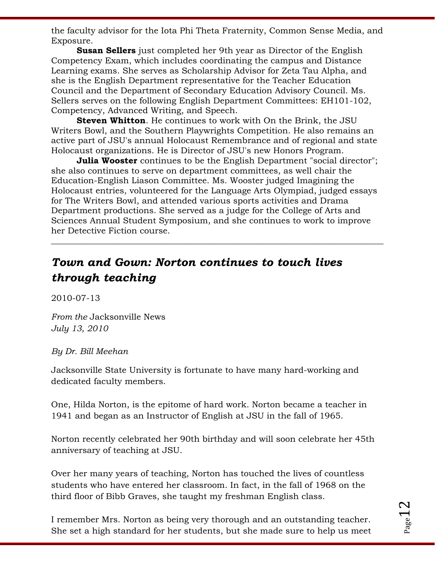the faculty advisor for the Iota Phi Theta Fraternity, Common Sense Media, and Exposure.

**Susan Sellers** just completed her 9th year as Director of the English Competency Exam, which includes coordinating the campus and Distance Learning exams. She serves as Scholarship Advisor for Zeta Tau Alpha, and she is the English Department representative for the Teacher Education Council and the Department of Secondary Education Advisory Council. Ms. Sellers serves on the following English Department Committees: EH101-102, Competency, Advanced Writing, and Speech.

**Steven Whitton**. He continues to work with On the Brink, the JSU Writers Bowl, and the Southern Playwrights Competition. He also remains an active part of JSU's annual Holocaust Remembrance and of regional and state Holocaust organizations. He is Director of JSU's new Honors Program.

**Julia Wooster** continues to be the English Department "social director"; she also continues to serve on department committees, as well chair the Education-English Liason Committee. Ms. Wooster judged Imagining the Holocaust entries, volunteered for the Language Arts Olympiad, judged essays for The Writers Bowl, and attended various sports activities and Drama Department productions. She served as a judge for the College of Arts and Sciences Annual Student Symposium, and she continues to work to improve her Detective Fiction course.

\_\_\_\_\_\_\_\_\_\_\_\_\_\_\_\_\_\_\_\_\_\_\_\_\_\_\_\_\_\_\_\_\_\_\_\_\_\_\_\_\_\_\_\_\_\_\_\_\_\_\_\_\_\_\_\_\_\_\_\_\_\_\_\_\_\_\_\_\_\_\_\_\_\_\_\_\_\_

# *Town and Gown: Norton continues to touch lives through teaching*

2010-07-13

*From the* Jacksonville News *July 13, 2010*

*By Dr. Bill Meehan*

Jacksonville State University is fortunate to have many hard-working and dedicated faculty members.

One, Hilda Norton, is the epitome of hard work. Norton became a teacher in 1941 and began as an Instructor of English at JSU in the fall of 1965.

Norton recently celebrated her 90th birthday and will soon celebrate her 45th anniversary of teaching at JSU.

Over her many years of teaching, Norton has touched the lives of countless students who have entered her classroom. In fact, in the fall of 1968 on the third floor of Bibb Graves, she taught my freshman English class.

I remember Mrs. Norton as being very thorough and an outstanding teacher. She set a high standard for her students, but she made sure to help us meet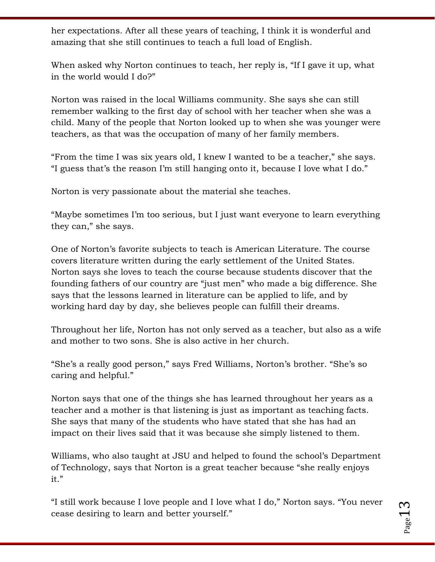her expectations. After all these years of teaching, I think it is wonderful and amazing that she still continues to teach a full load of English.

When asked why Norton continues to teach, her reply is, "If I gave it up, what in the world would I do?"

Norton was raised in the local Williams community. She says she can still remember walking to the first day of school with her teacher when she was a child. Many of the people that Norton looked up to when she was younger were teachers, as that was the occupation of many of her family members.

"From the time I was six years old, I knew I wanted to be a teacher," she says. "I guess that's the reason I'm still hanging onto it, because I love what I do."

Norton is very passionate about the material she teaches.

"Maybe sometimes I'm too serious, but I just want everyone to learn everything they can," she says.

One of Norton's favorite subjects to teach is American Literature. The course covers literature written during the early settlement of the United States. Norton says she loves to teach the course because students discover that the founding fathers of our country are "just men" who made a big difference. She says that the lessons learned in literature can be applied to life, and by working hard day by day, she believes people can fulfill their dreams.

Throughout her life, Norton has not only served as a teacher, but also as a wife and mother to two sons. She is also active in her church.

"She's a really good person," says Fred Williams, Norton's brother. "She's so caring and helpful."

Norton says that one of the things she has learned throughout her years as a teacher and a mother is that listening is just as important as teaching facts. She says that many of the students who have stated that she has had an impact on their lives said that it was because she simply listened to them.

Williams, who also taught at JSU and helped to found the school's Department of Technology, says that Norton is a great teacher because "she really enjoys it."

―I still work because I love people and I love what I do,‖ Norton says. ―You never cease desiring to learn and better yourself."